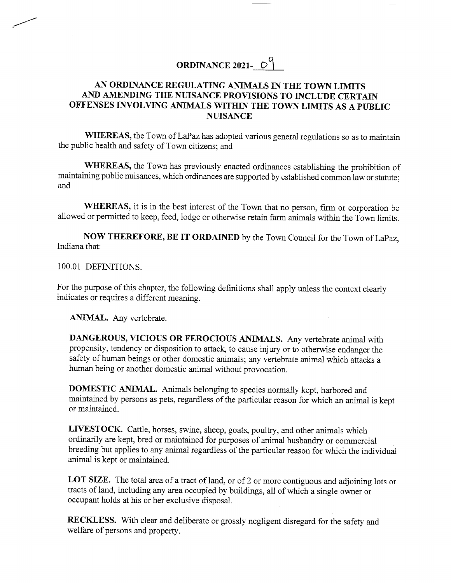# ORDINANCE 2021- $\circ$ <sup>9</sup>

## AN ORDINANCE REGULATING ANIMALS IN THE TOWN LIMITS AND AMENDING THE NUISANCE PROVISIONS TO INCLUDE CERTAIN OFFENSES INVOLVING ANIMALS WITHIN THE TOWN LIMITS AS A PUBLIC NUISANCE

WHEREAS, the Town of LaPaz has adopted various general regulations so as to maintain the public health and safety of Town citizens; and

WHEREAS, the Town has previously enacted ordinances establishing the prohibition of maintaining public nuisances, which ordinances are supported by established common law or stafute; and

WHEREAS, it is in the best interest of the Town that no person, firm or corporation be allowed or permitted to keep, feed, lodge or otherwise retain farm animals within the Town limits.

NOW THEREFORE, BE IT ORDAINED by the Town Council for the Town of LaPaz, Indiana that:

1OO.O1 DEFINITIONS.

For the purpose of this chapter, the following definitions shall apply unless the context clearly indicates or requires a different meaning.

ANIMAL. Any vertebrate.

DANGEROUS, YICIOUS OR FEROCIOUS ANIMALS. Any vertebrate animal with propensity, tendency or disposition to attack, to cause injury or to otherwise endanger the safety of human beings or other domestic animals; any vertebrate animal which attacks <sup>a</sup> human being or another domestic animal without provocation.

DOMESTIC ANIMAL. Animals belonging to species normally kept, harbored and maintained by persons as pets, regardless of the particular reason for which an animal is kept or maintained.

LrvESTocK. cattle, horses, swine, sheep, goats, poultry, and other animals which ordinarily are kept, bred or maintained for purposes of animal husbandry or commercial breeding but applies to any animal regardless of the particular reason for which the individual animal is kept or maintained.

LOT SIZE. The total area of a tract of land, or of 2 or more contiguous and adjoining lots or tracts of land, including any area occupied by buildings, ail of which a single owner or occupant holds at his or her exclusive disposal.

RECKLESS. With clear and deliberate or grossly negligent disregard for the safety and welfare of persons and properfy.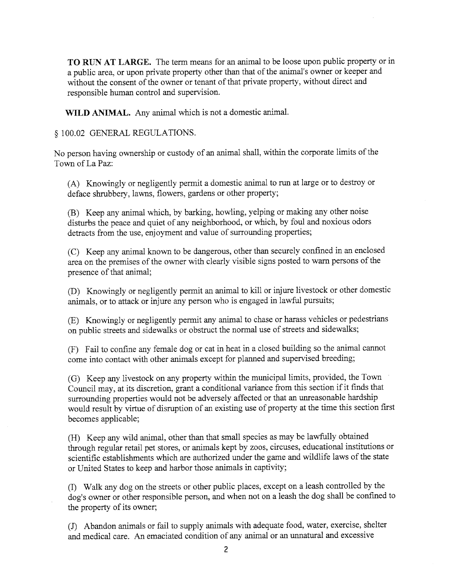TO RIIN AT LARGE. The term means for an animal to be loose upon public property or in a public area, or upon private property other than that of the animal's owner or keeper and without the consent of the owner or tenant of that private property, without direct and responsible human control and supervision.

WILD ANIMAL. Any animal which is not a domestic animal.

 $$100.02$  GENERAL REGULATIONS.

No person having ownership or custody of an animal shall, within the corporate limits of the Town of La Paz:

(A) Knowingly or negiigently permit a domestic animal to run at large or to destroy or deface shrubbery, lawns, flowers, gardens or other property;

(B) Keep any animal which, by barking, howling, yelping or making any other noise disturbs the peace and quiet of any neighborhood, or which, by foul and noxious odors detracts from the use, enjoyment and value of surrounding properties;

(C) Keep any animal known to be dangerous, other than securely confined in an enclosed area on the premises of the owner with clearly visible signs posted to warn persons of the presence of that animal;

(D) Knowingly or negligently permit an animal to kill or injure livestock or other domestic animals, or to attack or injure any person who is engaged in lawful pursuits;

(E) Knowingly or negligently permit any animal to chase or harass vehicles or pedestrians on public streets and sidewalks or obstruct the normal use of streets and sidewalks;

(F) Fail to confine any female dog or cat in heat in a closed building so the animal cannot come into contact with other animals except for planned and supervised breeding;

(G) Keep any livestock on any property within the municipal limits, provided, the Town Council may, at its discretion, grant a conditional variance from this section if it finds that surrounding properties would not be adversely affected or that an umeasonable hardship wouid result by virfue of disruption of an existing use of property at the time this section first becomes applicable;

(H) Keep any wild animal, other than that small species as may be lawfully obtained through regular retail pet stores, or animals kept by zoos, circuses, educational institutions or scientific establishments which are authorized under the game and wildlife laws of the state or United States to keep and harbor those animals in captivity;

(D Walk any dog on the streets or other public piaces, except on a leash controlled by the dog's owner or other responsible person, and when not on a leash the dog shall be confined to the property of its owner;

(J) Abandon animais or fail to supply animals with adequate food, water, exercise, shelter and medical care. An emaciated condition of any animal or an unnatural and excessive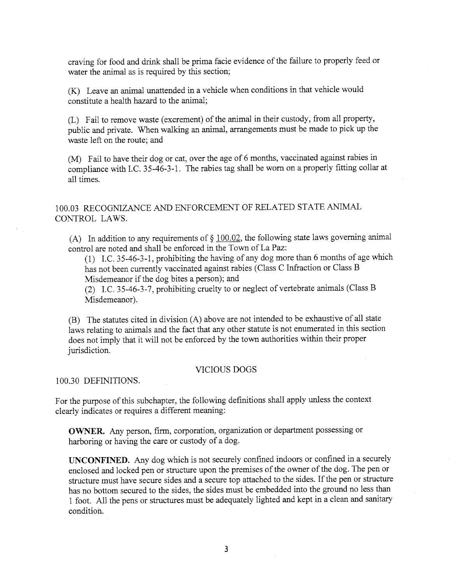craving for food and drink shall be prima facie evidence of the failure to properly feed or water the animal as is required by this section;

(K) Leave an animal unattended in a vehicle when conditions in that vehicle would constitute a health hazard to the animal;

(L) Fail to remove waste (excrement) of the animal in their custody, from all property, public and private. When walking an animal, arrangements must be made to pick up the waste left on the route; and

(M) Fail to have their dog or cat, over the age of 6 months, vaccinated against rabies in compliance with I.C. 35-46-3-1. The rabies tag shall be worn on a properly fitting collar at all times.

1OO.O3 RECOGNIZANCE AND ENFORCEMENT OF RELATED STATE ANIMAL CONTROL LAWS.

(A) In addition to any requirements of  $\S 100.02$ , the following state laws governing animal control are noted and shall be enforced in the Town of LaPaz:

(1) I.C.35-46-3-1, prohibiting the having of any dog more than 6 months of age which has not been currently vaccinated against rabies (Class C lnfraction or Class B Misdemeanor if the dog bites a person); and

(2) I.C.35-46-3-7, prohibiting cruelty to or neglect of vertebrate animals (Class B Misdemeanor).

(B) The statutes cited in division (A) above are not intended to be exhaustive of all state laws relating to animals and the fact that any other statute is not enumerated in this section does not imply that it will not be enforced by the town authorities within their proper jurisdiction.

#### VICIOUS DOGS

1OO.3O DEFINITIONS.

For the purpose of this subchapter, the following definitions shall apply unless the context clearly indicates or requires a different meaning:

OWNER. Any person, firm, corporation, organization or department possessing or harboring or having the care or custody of a dog.

TINCONFINED. Any dog which is not securely confined indoors or confined in a securely enclosed and locked pen or structure upon the premises of the owner of the dog. The pen or structure must have secure sides and a secure top attached to the sides. If the pen or structure has no bottom secured to the sides, the sides must be embedded into the ground no less than <sup>1</sup>foot. All the pens or structures must be adequately lighted and kept in a clean and sanitary condition.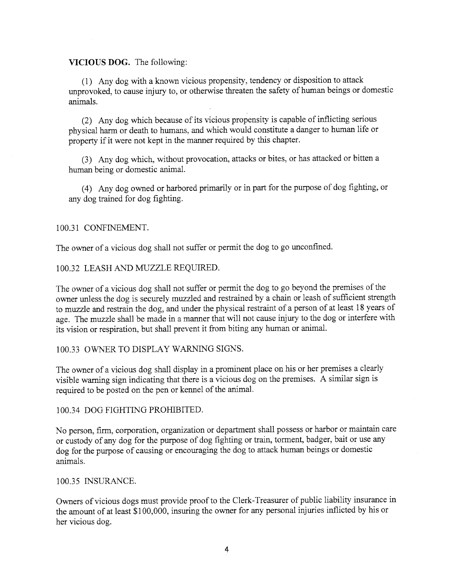#### VICIOUS DOG. The following:

(1) Any dog with a known vicious propensity, tendency or disposition to attack unprovoked, to cause injury to, or otherwise threaten the safety of human beings or domestic animals.

(2) Any dog which because of its vicious propensity is capable of inflicting serious physical harm or death to humans, and which would constitute a danger to human life or property if it were not kept in the manner required by this chapter.

(3) Any dog which, without provocation, attacks or bites, or has attacked or bitten <sup>a</sup> human being or domestic animal.

(4) Any dog owned or harbored primarily or in part for the purpose of dog fighting, or any dog trained for dog frghting.

#### 100.31 CONFINEMENT.

The owner of a vicious dog shall not suffer or permit the dog to go unconfined.

t00.32 LEASH AND MUZZLE REQUIRED.

The owner of a vicious dog shall not suffer or permit the dog to go beyond the premises of the owner unless the dog is securely muzzled and restrained by a chain or leash of sufficient strength to muzzle and restrain the dog, and under the physical restraint of a person of at least 18 years of age. The muzzle shall be made in a manner that will not cause injury to the dog or interfere with its vision or respiration, but shall prevent it from biting any human or animal.

### 100.33 OWNER TO DISPLAY WARNING SIGNS.

The owner of a vicious dog shall display in a prominent place on his or her premises a clearly visible waming sign indicating that there is a vicious dog on the premises. A similar sign is required to be posted on the pen or kennel of the animal.

100.34 DOG FiGHTING PROHIBITED.

No person, firm, corporation, organization or department shall possess or harbor or maintain care or custody of any dog for the purpose of dog fighting or train, torment, badger, bait or use any dog for the purpose of causing or encouraging the dog to attack human beings or domestic animals.

#### 100.35 INSLRANCE.

Owners of vicious dogs must provide proof to the Clerk-Treasurer of public liability insurance in the amount of at least \$100,000, insuring the owner for any personal injuries inflicted by his or her vicious dog.